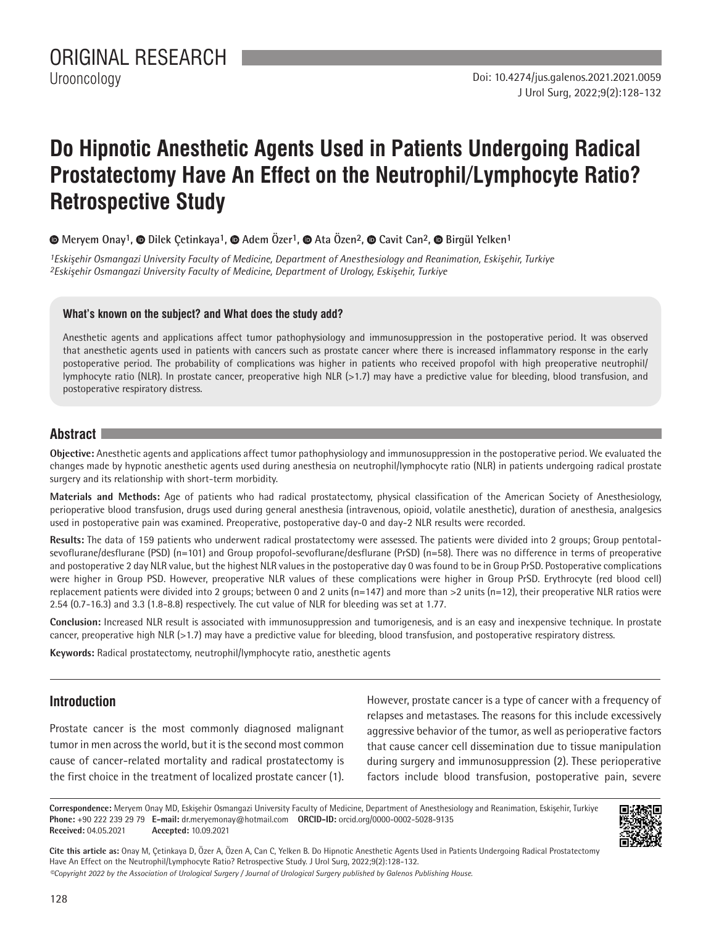# **Do Hipnotic Anesthetic Agents Used in Patients Undergoing Radical Prostatectomy Have An Effect on the Neutrophil/Lymphocyte Ratio? Retrospective Study**

 **Meryem Onay1, Dilek Çetinkaya1,Adem Özer1, Ata Özen2, Cavit Can2, Birgül Yelken1**

*1Eskişehir Osmangazi University Faculty of Medicine, Department of Anesthesiology and Reanimation, Eskişehir, Turkiye 2Eskişehir Osmangazi University Faculty of Medicine, Department of Urology, Eskişehir, Turkiye*

#### **What's known on the subject? and What does the study add?**

Anesthetic agents and applications affect tumor pathophysiology and immunosuppression in the postoperative period. It was observed that anesthetic agents used in patients with cancers such as prostate cancer where there is increased inflammatory response in the early postoperative period. The probability of complications was higher in patients who received propofol with high preoperative neutrophil/ lymphocyte ratio (NLR). In prostate cancer, preoperative high NLR (>1.7) may have a predictive value for bleeding, blood transfusion, and postoperative respiratory distress.

#### **Abstract**

**Objective:** Anesthetic agents and applications affect tumor pathophysiology and immunosuppression in the postoperative period. We evaluated the changes made by hypnotic anesthetic agents used during anesthesia on neutrophil/lymphocyte ratio (NLR) in patients undergoing radical prostate surgery and its relationship with short-term morbidity.

**Materials and Methods:** Age of patients who had radical prostatectomy, physical classification of the American Society of Anesthesiology, perioperative blood transfusion, drugs used during general anesthesia (intravenous, opioid, volatile anesthetic), duration of anesthesia, analgesics used in postoperative pain was examined. Preoperative, postoperative day-0 and day-2 NLR results were recorded.

**Results:** The data of 159 patients who underwent radical prostatectomy were assessed. The patients were divided into 2 groups; Group pentotalsevoflurane/desflurane (PSD) (n=101) and Group propofol-sevoflurane/desflurane (PrSD) (n=58). There was no difference in terms of preoperative and postoperative 2 day NLR value, but the highest NLR values in the postoperative day 0 was found to be in Group PrSD. Postoperative complications were higher in Group PSD. However, preoperative NLR values of these complications were higher in Group PrSD. Erythrocyte (red blood cell) replacement patients were divided into 2 groups; between 0 and 2 units (n=147) and more than >2 units (n=12), their preoperative NLR ratios were 2.54 (0.7-16.3) and 3.3 (1.8-8.8) respectively. The cut value of NLR for bleeding was set at 1.77.

**Conclusion:** Increased NLR result is associated with immunosuppression and tumorigenesis, and is an easy and inexpensive technique. In prostate cancer, preoperative high NLR (>1.7) may have a predictive value for bleeding, blood transfusion, and postoperative respiratory distress.

**Keywords:** Radical prostatectomy, neutrophil/lymphocyte ratio, anesthetic agents

## **Introduction**

Prostate cancer is the most commonly diagnosed malignant tumor in men across the world, but it is the second most common cause of cancer-related mortality and radical prostatectomy is the first choice in the treatment of localized prostate cancer (1). However, prostate cancer is a type of cancer with a frequency of relapses and metastases. The reasons for this include excessively aggressive behavior of the tumor, as well as perioperative factors that cause cancer cell dissemination due to tissue manipulation during surgery and immunosuppression (2). These perioperative factors include blood transfusion, postoperative pain, severe

**Correspondence:** Meryem Onay MD, Eskişehir Osmangazi University Faculty of Medicine, Department of Anesthesiology and Reanimation, Eskişehir, Turkiye **Phone:** +90 222 239 29 79 **E-mail:** dr.meryemonay@hotmail.com **ORCID-ID:** orcid.org/0000-0002-5028-9135 **Received:** 04.05.2021 **Accepted:** 10.09.2021



**Cite this article as:** Onay M, Çetinkaya D, Özer A, Özen A, Can C, Yelken B. Do Hipnotic Anesthetic Agents Used in Patients Undergoing Radical Prostatectomy Have An Effect on the Neutrophil/Lymphocyte Ratio? Retrospective Study. J Urol Surg, 2022;9(2):128-132.

*©Copyright 2022 by the Association of Urological Surgery / Journal of Urological Surgery published by Galenos Publishing House.*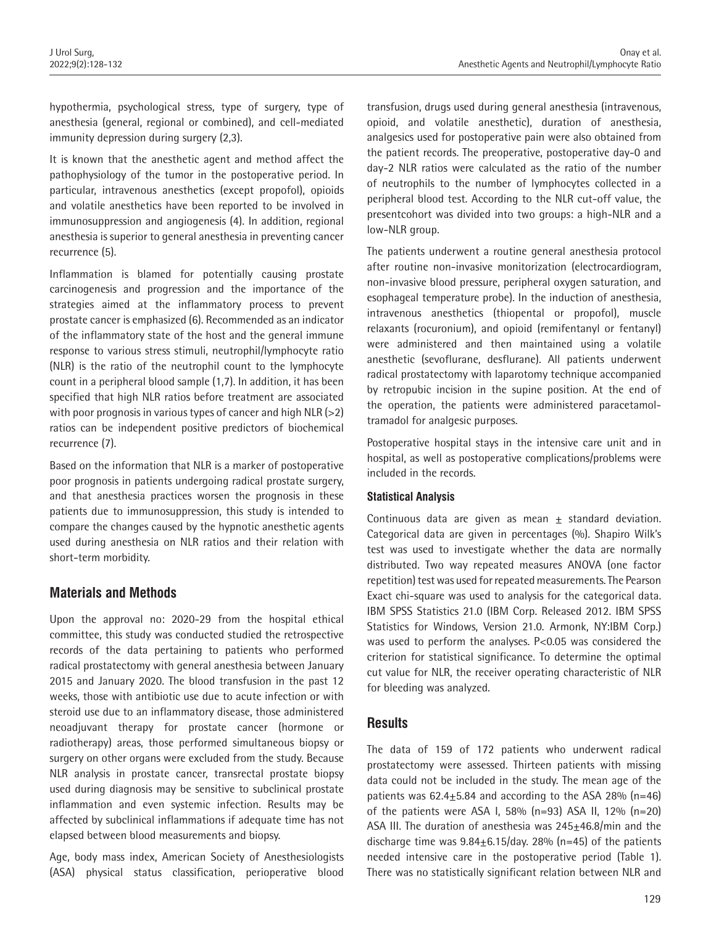hypothermia, psychological stress, type of surgery, type of anesthesia (general, regional or combined), and cell-mediated immunity depression during surgery (2,3).

It is known that the anesthetic agent and method affect the pathophysiology of the tumor in the postoperative period. In particular, intravenous anesthetics (except propofol), opioids and volatile anesthetics have been reported to be involved in immunosuppression and angiogenesis (4). In addition, regional anesthesia is superior to general anesthesia in preventing cancer recurrence (5).

Inflammation is blamed for potentially causing prostate carcinogenesis and progression and the importance of the strategies aimed at the inflammatory process to prevent prostate cancer is emphasized (6). Recommended as an indicator of the inflammatory state of the host and the general immune response to various stress stimuli, neutrophil/lymphocyte ratio (NLR) is the ratio of the neutrophil count to the lymphocyte count in a peripheral blood sample (1,7). In addition, it has been specified that high NLR ratios before treatment are associated with poor prognosis in various types of cancer and high NLR  $(>2)$ ratios can be independent positive predictors of biochemical recurrence (7).

Based on the information that NLR is a marker of postoperative poor prognosis in patients undergoing radical prostate surgery, and that anesthesia practices worsen the prognosis in these patients due to immunosuppression, this study is intended to compare the changes caused by the hypnotic anesthetic agents used during anesthesia on NLR ratios and their relation with short-term morbidity.

# **Materials and Methods**

Upon the approval no: 2020-29 from the hospital ethical committee, this study was conducted studied the retrospective records of the data pertaining to patients who performed radical prostatectomy with general anesthesia between January 2015 and January 2020. The blood transfusion in the past 12 weeks, those with antibiotic use due to acute infection or with steroid use due to an inflammatory disease, those administered neoadjuvant therapy for prostate cancer (hormone or radiotherapy) areas, those performed simultaneous biopsy or surgery on other organs were excluded from the study. Because NLR analysis in prostate cancer, transrectal prostate biopsy used during diagnosis may be sensitive to subclinical prostate inflammation and even systemic infection. Results may be affected by subclinical inflammations if adequate time has not elapsed between blood measurements and biopsy.

Age, body mass index, American Society of Anesthesiologists (ASA) physical status classification, perioperative blood

transfusion, drugs used during general anesthesia (intravenous, opioid, and volatile anesthetic), duration of anesthesia, analgesics used for postoperative pain were also obtained from the patient records. The preoperative, postoperative day-0 and day-2 NLR ratios were calculated as the ratio of the number of neutrophils to the number of lymphocytes collected in a peripheral blood test. According to the NLR cut-off value, the presentcohort was divided into two groups: a high-NLR and a low-NLR group.

The patients underwent a routine general anesthesia protocol after routine non-invasive monitorization (electrocardiogram, non-invasive blood pressure, peripheral oxygen saturation, and esophageal temperature probe). In the induction of anesthesia, intravenous anesthetics (thiopental or propofol), muscle relaxants (rocuronium), and opioid (remifentanyl or fentanyl) were administered and then maintained using a volatile anesthetic (sevoflurane, desflurane). All patients underwent radical prostatectomy with laparotomy technique accompanied by retropubic incision in the supine position. At the end of the operation, the patients were administered paracetamoltramadol for analgesic purposes.

Postoperative hospital stays in the intensive care unit and in hospital, as well as postoperative complications/problems were included in the records.

#### **Statistical Analysis**

Continuous data are given as mean  $\pm$  standard deviation. Categorical data are given in percentages (%). Shapiro Wilk's test was used to investigate whether the data are normally distributed. Two way repeated measures ANOVA (one factor repetition) test was used for repeated measurements. The Pearson Exact chi-square was used to analysis for the categorical data. IBM SPSS Statistics 21.0 (IBM Corp. Released 2012. IBM SPSS Statistics for Windows, Version 21.0. Armonk, NY:IBM Corp.) was used to perform the analyses. P<0.05 was considered the criterion for statistical significance. To determine the optimal cut value for NLR, the receiver operating characteristic of NLR for bleeding was analyzed.

## **Results**

The data of 159 of 172 patients who underwent radical prostatectomy were assessed. Thirteen patients with missing data could not be included in the study. The mean age of the patients was  $62.4 \pm 5.84$  and according to the ASA 28% (n=46) of the patients were ASA I, 58%  $(n=93)$  ASA II, 12%  $(n=20)$ ASA III. The duration of anesthesia was  $245\pm46.8$ /min and the discharge time was  $9.84 \pm 6.15$ /day. 28% (n=45) of the patients needed intensive care in the postoperative period (Table 1). There was no statistically significant relation between NLR and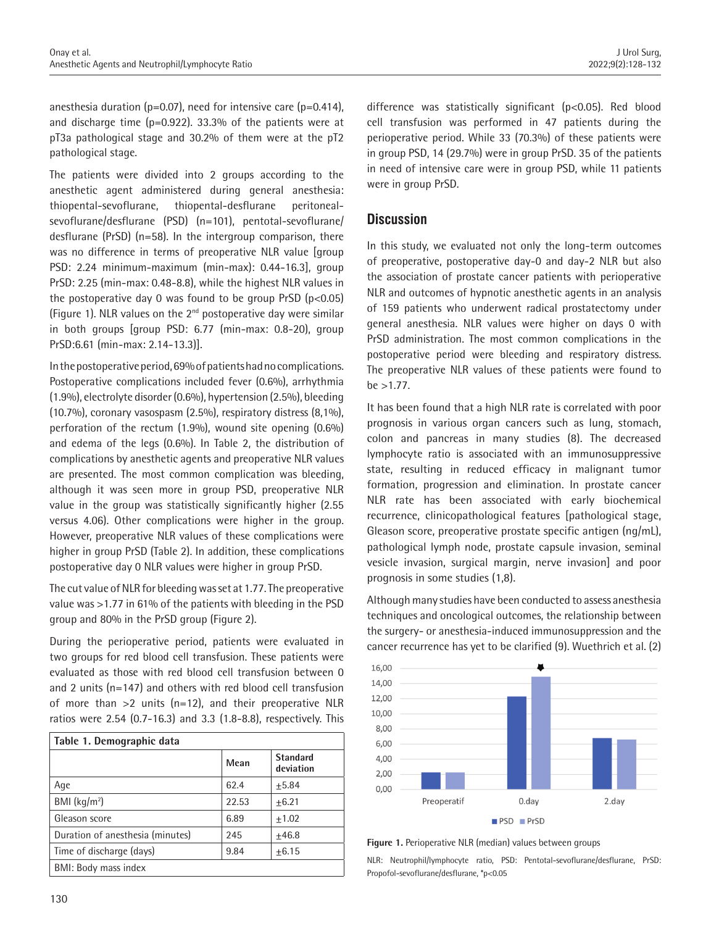anesthesia duration (p=0.07), need for intensive care (p=0.414), and discharge time (p=0.922). 33.3% of the patients were at pT3a pathological stage and 30.2% of them were at the pT2 pathological stage.

The patients were divided into 2 groups according to the anesthetic agent administered during general anesthesia: thiopental-sevoflurane, thiopental-desflurane peritonealsevoflurane/desflurane (PSD) (n=101), pentotal-sevoflurane/ desflurane (PrSD) (n=58). In the intergroup comparison, there was no difference in terms of preoperative NLR value [group PSD: 2.24 minimum-maximum (min-max): 0.44-16.3], group PrSD: 2.25 (min-max: 0.48-8.8), while the highest NLR values in the postoperative day 0 was found to be group  $PrSD(p<0.05)$ (Figure 1). NLR values on the 2nd postoperative day were similar in both groups [group PSD: 6.77 (min-max: 0.8-20), group PrSD:6.61 (min-max: 2.14-13.3)].

In the postoperative period, 69% of patients had no complications. Postoperative complications included fever (0.6%), arrhythmia (1.9%), electrolyte disorder (0.6%), hypertension (2.5%), bleeding (10.7%), coronary vasospasm (2.5%), respiratory distress (8,1%), perforation of the rectum (1.9%), wound site opening (0.6%) and edema of the legs (0.6%). In Table 2, the distribution of complications by anesthetic agents and preoperative NLR values are presented. The most common complication was bleeding, although it was seen more in group PSD, preoperative NLR value in the group was statistically significantly higher (2.55 versus 4.06). Other complications were higher in the group. However, preoperative NLR values of these complications were higher in group PrSD (Table 2). In addition, these complications postoperative day 0 NLR values were higher in group PrSD.

The cut value of NLR for bleeding was set at 1.77. The preoperative value was >1.77 in 61% of the patients with bleeding in the PSD group and 80% in the PrSD group (Figure 2).

During the perioperative period, patients were evaluated in two groups for red blood cell transfusion. These patients were evaluated as those with red blood cell transfusion between 0 and 2 units (n=147) and others with red blood cell transfusion of more than  $>2$  units (n=12), and their preoperative NLR ratios were 2.54 (0.7-16.3) and 3.3 (1.8-8.8), respectively. This

| Table 1. Demographic data        |       |                              |  |  |  |
|----------------------------------|-------|------------------------------|--|--|--|
|                                  | Mean  | <b>Standard</b><br>deviation |  |  |  |
| Age                              | 62.4  | $+5.84$                      |  |  |  |
| BMI $(kq/m2)$                    | 22.53 | $+6.21$                      |  |  |  |
| Gleason score                    | 6.89  | $+1.02$                      |  |  |  |
| Duration of anesthesia (minutes) | 245   | $+46.8$                      |  |  |  |
| Time of discharge (days)         | 9.84  | $+6.15$                      |  |  |  |
| BMI: Body mass index             |       |                              |  |  |  |

difference was statistically significant (p<0.05). Red blood cell transfusion was performed in 47 patients during the perioperative period. While 33 (70.3%) of these patients were in group PSD, 14 (29.7%) were in group PrSD. 35 of the patients in need of intensive care were in group PSD, while 11 patients were in group PrSD.

#### **Discussion**

In this study, we evaluated not only the long-term outcomes of preoperative, postoperative day-0 and day-2 NLR but also the association of prostate cancer patients with perioperative NLR and outcomes of hypnotic anesthetic agents in an analysis of 159 patients who underwent radical prostatectomy under general anesthesia. NLR values were higher on days 0 with PrSD administration. The most common complications in the postoperative period were bleeding and respiratory distress. The preoperative NLR values of these patients were found to  $be > 1.77$ .

It has been found that a high NLR rate is correlated with poor prognosis in various organ cancers such as lung, stomach, colon and pancreas in many studies (8). The decreased lymphocyte ratio is associated with an immunosuppressive state, resulting in reduced efficacy in malignant tumor formation, progression and elimination. In prostate cancer NLR rate has been associated with early biochemical recurrence, clinicopathological features [pathological stage, Gleason score, preoperative prostate specific antigen (ng/mL), pathological lymph node, prostate capsule invasion, seminal vesicle invasion, surgical margin, nerve invasion] and poor prognosis in some studies (1,8).

Although many studies have been conducted to assess anesthesia techniques and oncological outcomes, the relationship between the surgery- or anesthesia-induced immunosuppression and the cancer recurrence has yet to be clarified (9). Wuethrich et al. (2)



**Figure 1.** Perioperative NLR (median) values between groups

NLR: Neutrophil/lymphocyte ratio, PSD: Pentotal-sevoflurane/desflurane, PrSD: Propofol-sevoflurane/desflurane, \*p<0.05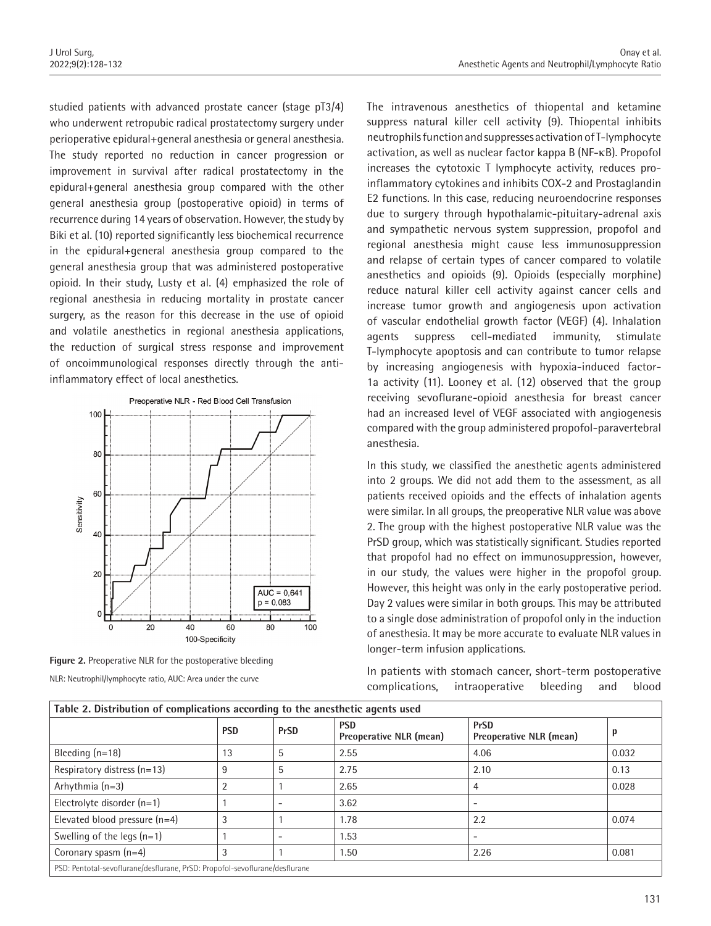studied patients with advanced prostate cancer (stage pT3/4) who underwent retropubic radical prostatectomy surgery under perioperative epidural+general anesthesia or general anesthesia. The study reported no reduction in cancer progression or improvement in survival after radical prostatectomy in the epidural+general anesthesia group compared with the other general anesthesia group (postoperative opioid) in terms of recurrence during 14 years of observation. However, the study by Biki et al. (10) reported significantly less biochemical recurrence in the epidural+general anesthesia group compared to the general anesthesia group that was administered postoperative opioid. In their study, Lusty et al. (4) emphasized the role of regional anesthesia in reducing mortality in prostate cancer surgery, as the reason for this decrease in the use of opioid and volatile anesthetics in regional anesthesia applications, the reduction of surgical stress response and improvement of oncoimmunological responses directly through the antiinflammatory effect of local anesthetics.



**Figure 2.** Preoperative NLR for the postoperative bleeding NLR: Neutrophil/lymphocyte ratio, AUC: Area under the curve

The intravenous anesthetics of thiopental and ketamine suppress natural killer cell activity (9). Thiopental inhibits neutrophils function and suppresses activation of T-lymphocyte activation, as well as nuclear factor kappa B (NF-κB). Propofol increases the cytotoxic T lymphocyte activity, reduces proinflammatory cytokines and inhibits COX-2 and Prostaglandin E2 functions. In this case, reducing neuroendocrine responses due to surgery through hypothalamic-pituitary-adrenal axis and sympathetic nervous system suppression, propofol and regional anesthesia might cause less immunosuppression and relapse of certain types of cancer compared to volatile anesthetics and opioids (9). Opioids (especially morphine) reduce natural killer cell activity against cancer cells and increase tumor growth and angiogenesis upon activation of vascular endothelial growth factor (VEGF) (4). Inhalation agents suppress cell-mediated immunity, stimulate T-lymphocyte apoptosis and can contribute to tumor relapse by increasing angiogenesis with hypoxia-induced factor-1a activity (11). Looney et al. (12) observed that the group receiving sevoflurane-opioid anesthesia for breast cancer had an increased level of VEGF associated with angiogenesis compared with the group administered propofol-paravertebral anesthesia.

In this study, we classified the anesthetic agents administered into 2 groups. We did not add them to the assessment, as all patients received opioids and the effects of inhalation agents were similar. In all groups, the preoperative NLR value was above 2. The group with the highest postoperative NLR value was the PrSD group, which was statistically significant. Studies reported that propofol had no effect on immunosuppression, however, in our study, the values were higher in the propofol group. However, this height was only in the early postoperative period. Day 2 values were similar in both groups. This may be attributed to a single dose administration of propofol only in the induction of anesthesia. It may be more accurate to evaluate NLR values in longer-term infusion applications.

In patients with stomach cancer, short-term postoperative complications, intraoperative bleeding and blood

| Table 2. Distribution of complications according to the anesthetic agents used |            |             |                                       |                                               |       |  |
|--------------------------------------------------------------------------------|------------|-------------|---------------------------------------|-----------------------------------------------|-------|--|
|                                                                                | <b>PSD</b> | <b>PrSD</b> | <b>PSD</b><br>Preoperative NLR (mean) | <b>PrSD</b><br><b>Preoperative NLR (mean)</b> | p     |  |
| Bleeding $(n=18)$                                                              | 13         | 5           | 2.55                                  | 4.06                                          | 0.032 |  |
| Respiratory distress (n=13)                                                    |            | 5           | 2.75                                  | 2.10                                          | 0.13  |  |
| Arhythmia $(n=3)$                                                              |            |             | 2.65                                  | 4                                             | 0.028 |  |
| Electrolyte disorder $(n=1)$                                                   |            |             | 3.62                                  |                                               |       |  |
| Elevated blood pressure $(n=4)$                                                |            |             | 1.78                                  | 2.2                                           | 0.074 |  |
| Swelling of the legs $(n=1)$                                                   |            |             | 1.53                                  | $\overline{\phantom{0}}$                      |       |  |
| Coronary spasm (n=4)                                                           | -1         |             | 1.50                                  | 2.26                                          | 0.081 |  |
| PSD: Pentotal-sevoflurane/desflurane, PrSD: Propofol-sevoflurane/desflurane    |            |             |                                       |                                               |       |  |